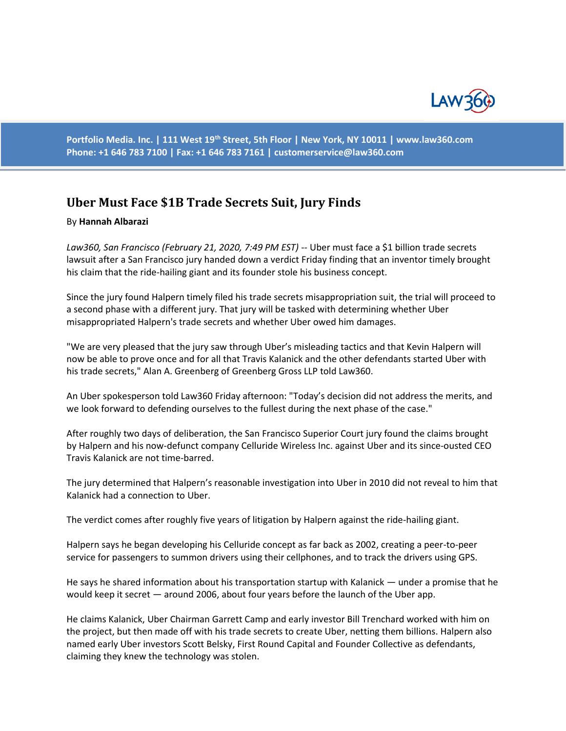

**Portfolio Media. Inc. | 111 West 19th Street, 5th Floor | New York, NY 10011 | www.law360.com Phone: +1 646 783 7100 | Fax: +1 646 783 7161 | [customerservice@law360.com](mailto:customerservice@law360.com)**

## **Uber Must Face \$1B Trade Secrets Suit, Jury Finds**

## By **Hannah Albarazi**

*Law360, San Francisco (February 21, 2020, 7:49 PM EST)* -- Uber must face a \$1 billion trade secrets lawsuit after a San Francisco jury handed down a verdict Friday finding that an inventor timely brought his claim that the ride-hailing giant and its founder stole his business concept.

Since the jury found Halpern timely filed his trade secrets misappropriation suit, the trial will proceed to a second phase with a different jury. That jury will be tasked with determining whether Uber misappropriated Halpern's trade secrets and whether Uber owed him damages.

"We are very pleased that the jury saw through Uber's misleading tactics and that Kevin Halpern will now be able to prove once and for all that Travis Kalanick and the other defendants started Uber with his trade secrets," Alan A. Greenberg of Greenberg Gross LLP told Law360.

An Uber spokesperson told Law360 Friday afternoon: "Today's decision did not address the merits, and we look forward to defending ourselves to the fullest during the next phase of the case."

After roughly two days of deliberation, the San Francisco Superior Court jury found the claims brought by Halpern and his now-defunct company Celluride Wireless Inc. against Uber and its since-ousted CEO Travis Kalanick are not time-barred.

The jury determined that Halpern's reasonable investigation into Uber in 2010 did not reveal to him that Kalanick had a connection to Uber.

The verdict comes after roughly five years of litigation by Halpern against the ride-hailing giant.

Halpern says he began developing his Celluride concept as far back as 2002, creating a peer-to-peer service for passengers to summon drivers using their cellphones, and to track the drivers using GPS.

He says he shared information about his transportation startup with Kalanick — under a promise that he would keep it secret — around 2006, about four years before the launch of the Uber app.

He claims Kalanick, Uber Chairman Garrett Camp and early investor Bill Trenchard worked with him on the project, but then made off with his trade secrets to create Uber, netting them billions. Halpern also named early Uber investors Scott Belsky, First Round Capital and Founder Collective as defendants, claiming they knew the technology was stolen.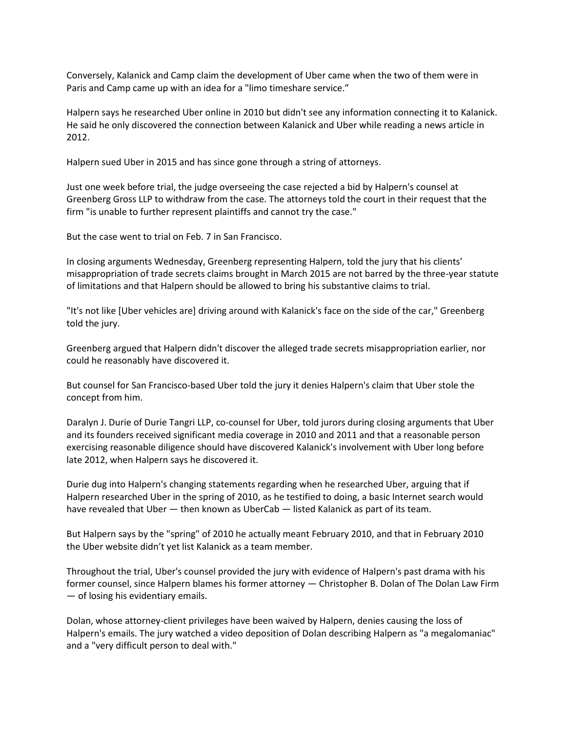Conversely, Kalanick and Camp claim the development of Uber came when the two of them were in Paris and Camp came up with an idea for a "limo timeshare service."

Halpern says he researched Uber online in 2010 but didn't see any information connecting it to Kalanick. He said he only discovered the connection between Kalanick and Uber while reading a news article in 2012.

Halpern sued Uber in 2015 and has since gone through a string of attorneys.

Just one week before trial, the judge overseeing the case rejected a bid by Halpern's counsel at Greenberg Gross LLP to withdraw from the case. The attorneys told the court in their request that the firm "is unable to further represent plaintiffs and cannot try the case."

But the case went to trial on Feb. 7 in San Francisco.

In closing arguments Wednesday, Greenberg representing Halpern, told the jury that his clients' misappropriation of trade secrets claims brought in March 2015 are not barred by the three-year statute of limitations and that Halpern should be allowed to bring his substantive claims to trial.

"It's not like [Uber vehicles are] driving around with Kalanick's face on the side of the car," Greenberg told the jury.

Greenberg argued that Halpern didn't discover the alleged trade secrets misappropriation earlier, nor could he reasonably have discovered it.

But counsel for San Francisco-based Uber told the jury it denies Halpern's claim that Uber stole the concept from him.

Daralyn J. Durie of Durie Tangri LLP, co-counsel for Uber, told jurors during closing arguments that Uber and its founders received significant media coverage in 2010 and 2011 and that a reasonable person exercising reasonable diligence should have discovered Kalanick's involvement with Uber long before late 2012, when Halpern says he discovered it.

Durie dug into Halpern's changing statements regarding when he researched Uber, arguing that if Halpern researched Uber in the spring of 2010, as he testified to doing, a basic Internet search would have revealed that Uber — then known as UberCab — listed Kalanick as part of its team.

But Halpern says by the "spring" of 2010 he actually meant February 2010, and that in February 2010 the Uber website didn't yet list Kalanick as a team member.

Throughout the trial, Uber's counsel provided the jury with evidence of Halpern's past drama with his former counsel, since Halpern blames his former attorney — Christopher B. Dolan of The Dolan Law Firm — of losing his evidentiary emails.

Dolan, whose attorney-client privileges have been waived by Halpern, denies causing the loss of Halpern's emails. The jury watched a video deposition of Dolan describing Halpern as "a megalomaniac" and a "very difficult person to deal with."